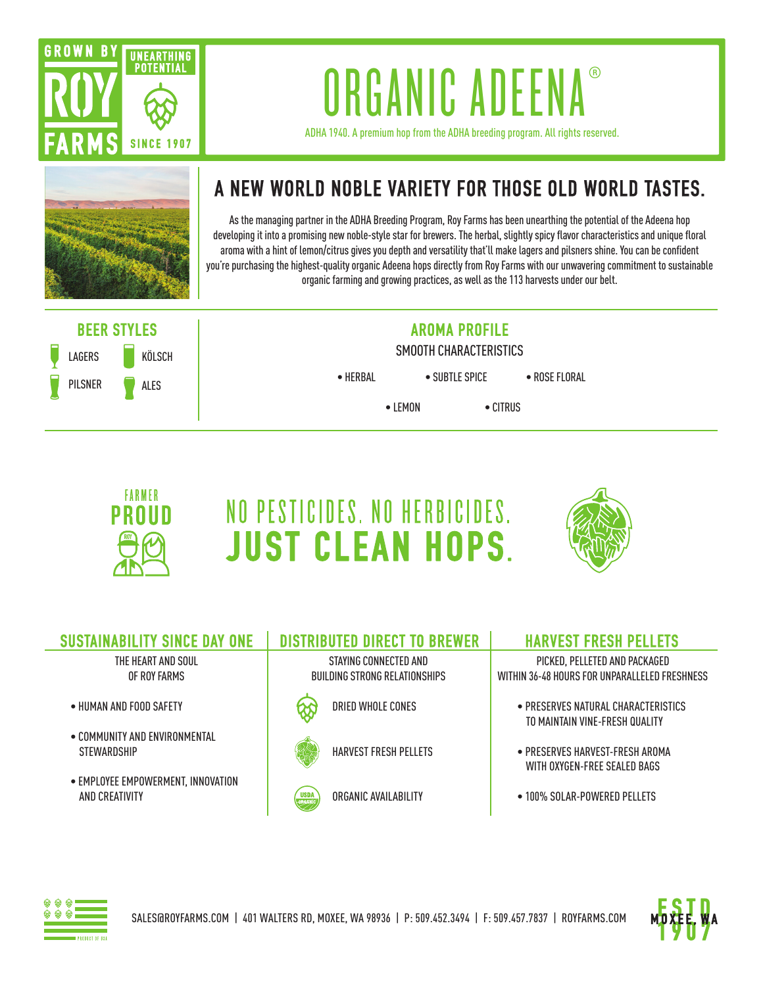

## ORGANIC ADEENA

ADHA 1940. A premium hop from the ADHA breeding program. All rights reserved.



## **A NEW WORLD NOBLE VARIETY FOR THOSE OLD WORLD TASTES.**

As the managing partner in the ADHA Breeding Program, Roy Farms has been unearthing the potential of the Adeena hop developing it into a promising new noble-style star for brewers. The herbal, slightly spicy flavor characteristics and unique floral aroma with a hint of lemon/citrus gives you depth and versatility that'll make lagers and pilsners shine. You can be confident you're purchasing the highest-quality organic Adeena hops directly from Roy Farms with our unwavering commitment to sustainable organic farming and growing practices, as well as the 113 harvests under our belt.





## NO PESTICIDES. NO HERBICIDES. **JUST CLEAN HOPS.**



| <b>SUSTAINABILITY SINCE DAY ONE</b>                         | <b>DISTRIBUTED DIRECT TO BREWER</b>                    | <b>HARVEST FRESH PELLETS</b>                                                   |
|-------------------------------------------------------------|--------------------------------------------------------|--------------------------------------------------------------------------------|
| THE HEART AND SOUL<br>OF ROY FARMS                          | STAYING CONNECTED AND<br>BUILDING STRONG RELATIONSHIPS | PICKED, PELLETED AND PACKAGED<br>WITHIN 36-48 HOURS FOR UNPARALLELED FRESHNESS |
| • HUMAN AND FOOD SAFETY                                     | DRIED WHOLE CONES                                      | • PRESERVES NATURAL CHARACTERISTICS<br>TO MAINTAIN VINE-FRESH OUALITY          |
| $\bullet$ COMMUNITY AND ENVIRONMENTAL<br><b>STEWARDSHIP</b> | <b>HARVEST FRESH PELLETS</b>                           | $\bullet$ PRESERVES HARVEST-FRESH AROMA<br>WITH OXYGEN-FREE SEALED BAGS        |
| • EMPLOYEE EMPOWERMENT, INNOVATION<br>AND CREATIVITY        | ORGANIC AVAILABILITY<br><b>USDA</b><br><b>ORGANIC</b>  | $\bullet$ 100% SOLAR-POWERED PELLETS                                           |